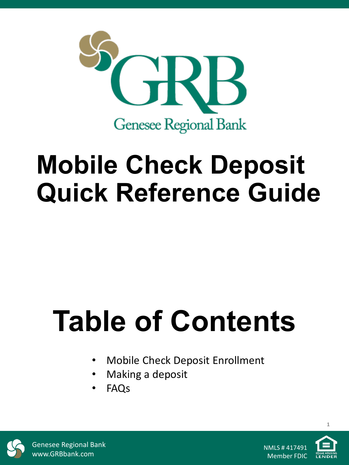

# **Mobile Check Deposit Quick Reference Guide**

# **Table of Contents**

- Mobile Check Deposit Enrollment
- Making a deposit
- FAQs



Genesee Regional Bank www.GRBbank.com

NMLS # 417491 Member FDIC

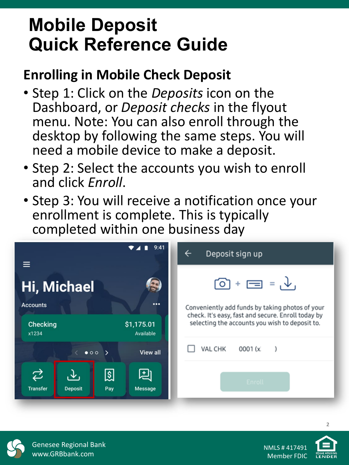## **Mobile Deposit Quick Reference Guide**

### **Enrolling in Mobile Check Deposit**

- Step 1: Click on the *Deposits* icon on the Dashboard, or *Deposit checks* in the flyout menu. Note: You can also enroll through the desktop by following the same steps. You will need a mobile device to make a deposit.
- Step 2: Select the accounts you wish to enroll and click *Enroll*.
- Step 3: You will receive a notification once your enrollment is complete. This is typically completed within one business day

| 9:41                                                                  |                         | Deposit sign up<br>←                                                                                  |
|-----------------------------------------------------------------------|-------------------------|-------------------------------------------------------------------------------------------------------|
| Hi, Michael                                                           |                         | $\odot$ + $\equiv$ = $\downarrow$                                                                     |
| $\cdots$<br><b>Accounts</b>                                           |                         | Conveniently add funds by taking photos of your<br>check. It's easy, fast and secure. Enroll today by |
| Checking<br>x1234                                                     | \$1,175.01<br>Available | selecting the accounts you wish to deposit to.                                                        |
| $\langle$ 000 $\rangle$                                               | <b>View all</b>         | VAL CHK<br>0001 (x<br>-1                                                                              |
| ⇄<br>श्चि<br>$\downarrow$<br><b>Transfer</b><br><b>Deposit</b><br>Pay | 凷<br><b>Message</b>     | Enroll                                                                                                |



**2**

Genesee Regional Bank www.GRBbank.com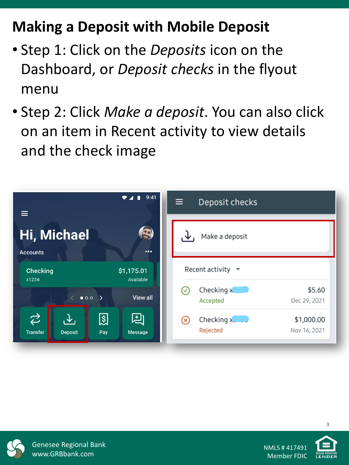## **Making a Deposit with Mobile Deposit**

- Step 1: Click on the *Deposits* icon on the Dashboard, or *Deposit checks* in the flyout menu
- Step 2: Click *Make a deposit*. You can also click on an item in Recent activity to view details and the check image





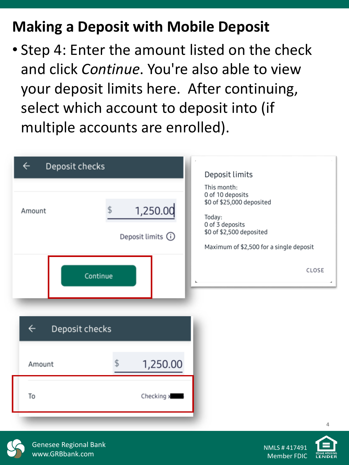### **Making a Deposit with Mobile Deposit**

• Step 4: Enter the amount listed on the check and click *Continue*. You're also able to view your deposit limits here. After continuing, select which account to deposit into (if multiple accounts are enrolled).

| Deposit checks<br>$\leftarrow$                                           |                                            | Deposit limits                                                                                                                                                            |
|--------------------------------------------------------------------------|--------------------------------------------|---------------------------------------------------------------------------------------------------------------------------------------------------------------------------|
| Amount                                                                   | 1,250.00<br>Deposit limits (i)<br>Continue | This month:<br>0 of 10 deposits<br>\$0 of \$25,000 deposited<br>Today:<br>0 of 3 deposits<br>\$0 of \$2,500 deposited<br>Maximum of \$2,500 for a single deposit<br>CLOSE |
| Deposit checks<br>$\leftarrow$<br>1,250.00<br>Amount<br>To<br>Checking x |                                            |                                                                                                                                                                           |



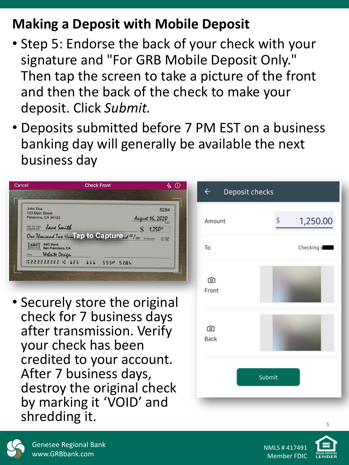### **Making a Deposit with Mobile Deposit**

- Step 5: Endorse the back of your check with your signature and "For GRB Mobile Deposit Only." Then tap the screen to take a picture of the front and then the back of the check to make your deposit. Click *Submit.*
- Deposits submitted before 7 PM EST on a business banking day will generally be available the next business day





**5**

Genesee Regional Bank www.GRBbank.com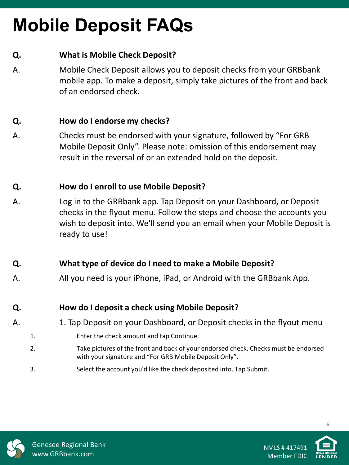# **Mobile Deposit FAQs**

#### **Q. What is Mobile Check Deposit?**

A. Mobile Check Deposit allows you to deposit checks from your GRBbank mobile app. To make a deposit, simply take pictures of the front and back of an endorsed check.

#### **Q. How do I endorse my checks?**

A. Checks must be endorsed with your signature, followed by "For GRB Mobile Deposit Only". Please note: omission of this endorsement may result in the reversal of or an extended hold on the deposit.

#### **Q. How do I enroll to use Mobile Deposit?**

A. Log in to the GRBbank app. Tap Deposit on your Dashboard, or Deposit checks in the flyout menu. Follow the steps and choose the accounts you wish to deposit into. We'll send you an email when your Mobile Deposit is ready to use!

#### **Q. What type of device do I need to make a Mobile Deposit?**

A. All you need is your iPhone, iPad, or Android with the GRBbank App.

#### **Q. How do I deposit a check using Mobile Deposit?**

- A. 1. Tap Deposit on your Dashboard, or Deposit checks in the flyout menu
	- 1. Enter the check amount and tap Continue.
	- 2. Take pictures of the front and back of your endorsed check. Checks must be endorsed with your signature and "For GRB Mobile Deposit Only".
	- 3. Select the account you'd like the check deposited into. Tap Submit.